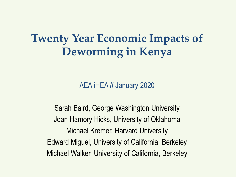#### **Twenty Year Economic Impacts of Deworming in Kenya**

AEA iHEA **//** January 2020

Sarah Baird, George Washington University Joan Hamory Hicks, University of Oklahoma Michael Kremer, Harvard University Edward Miguel, University of California, Berkeley Michael Walker, University of California, Berkeley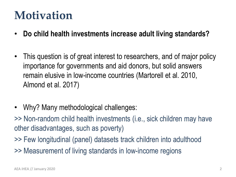#### **Motivation**

- **Do child health investments increase adult living standards?**
- This question is of great interest to researchers, and of major policy importance for governments and aid donors, but solid answers remain elusive in low-income countries (Martorell et al. 2010, Almond et al. 2017)
- Why? Many methodological challenges:
- >> Non-random child health investments (i.e., sick children may have other disadvantages, such as poverty)
- >> Few longitudinal (panel) datasets track children into adulthood >> Measurement of living standards in low-income regions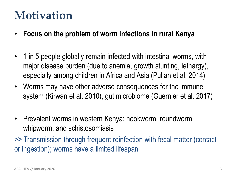#### **Motivation**

- **Focus on the problem of worm infections in rural Kenya**
- 1 in 5 people globally remain infected with intestinal worms, with major disease burden (due to anemia, growth stunting, lethargy), especially among children in Africa and Asia (Pullan et al. 2014)
- Worms may have other adverse consequences for the immune system (Kirwan et al. 2010), gut microbiome (Guernier et al. 2017)
- Prevalent worms in western Kenya: hookworm, roundworm, whipworm, and schistosomiasis

>> Transmission through frequent reinfection with fecal matter (contact or ingestion); worms have a limited lifespan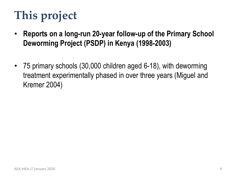# **This project**

- **Reports on a long-run 20-year follow-up of the Primary School Deworming Project (PSDP) in Kenya (1998-2003)**
- 75 primary schools (30,000 children aged 6-18), with deworming treatment experimentally phased in over three years (Miguel and Kremer 2004)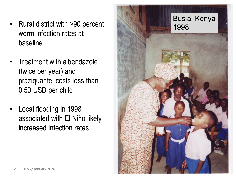- Rural district with >90 percent worm infection rates at baseline
- Treatment with albendazole (twice per year) and praziquantel costs less than 0.50 USD per child
- Local flooding in 1998 associated with El Niño likely increased infection rates

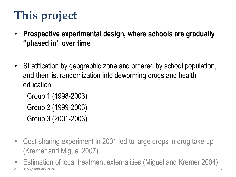# **This project**

- **Prospective experimental design, where schools are gradually "phased in" over time**
- Stratification by geographic zone and ordered by school population, and then list randomization into deworming drugs and health education:

Group 1 (1998-2003) Group 2 (1999-2003) Group 3 (2001-2003)

- Cost-sharing experiment in 2001 led to large drops in drug take-up (Kremer and Miguel 2007)
- Estimation of local treatment externalities (Miguel and Kremer 2004) AEA iHEA // January 2020 6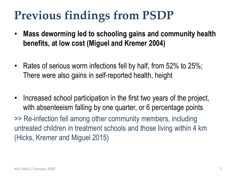## **Previous findings from PSDP**

- **Mass deworming led to schooling gains and community health benefits, at low cost (Miguel and Kremer 2004)**
- Rates of serious worm infections fell by half, from 52% to 25%; There were also gains in self-reported health, height
- Increased school participation in the first two years of the project, with absenteeism falling by one quarter, or 6 percentage points

>> Re-infection fell among other community members, including untreated children in treatment schools and those living within 4 km (Hicks, Kremer and Miguel 2015)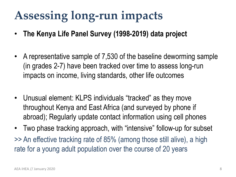## **Assessing long-run impacts**

- **The Kenya Life Panel Survey (1998-2019) data project**
- A representative sample of 7,530 of the baseline deworming sample (in grades 2-7) have been tracked over time to assess long-run impacts on income, living standards, other life outcomes
- Unusual element: KLPS individuals "tracked" as they move throughout Kenya and East Africa (and surveyed by phone if abroad); Regularly update contact information using cell phones
- Two phase tracking approach, with "intensive" follow-up for subset >> An effective tracking rate of 85% (among those still alive), a high rate for a young adult population over the course of 20 years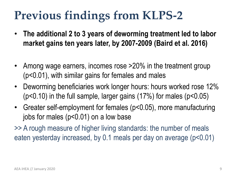## **Previous findings from KLPS-2**

- **The additional 2 to 3 years of deworming treatment led to labor market gains ten years later, by 2007-2009 (Baird et al. 2016)**
- Among wage earners, incomes rose >20% in the treatment group (p<0.01), with similar gains for females and males
- Deworming beneficiaries work longer hours: hours worked rose 12% (p<0.10) in the full sample, larger gains (17%) for males (p<0.05)
- Greater self-employment for females (p<0.05), more manufacturing jobs for males (p<0.01) on a low base

>> A rough measure of higher living standards: the number of meals eaten yesterday increased, by 0.1 meals per day on average (p<0.01)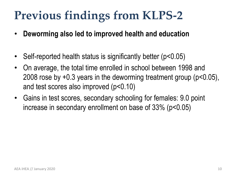## **Previous findings from KLPS-2**

- **Deworming also led to improved health and education**
- Self-reported health status is significantly better (p<0.05)
- On average, the total time enrolled in school between 1998 and 2008 rose by +0.3 years in the deworming treatment group (p<0.05), and test scores also improved (p<0.10)
- Gains in test scores, secondary schooling for females: 9.0 point increase in secondary enrollment on base of 33% (p<0.05)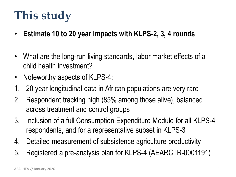## **This study**

- **Estimate 10 to 20 year impacts with KLPS-2, 3, 4 rounds**
- What are the long-run living standards, labor market effects of a child health investment?
- Noteworthy aspects of KLPS-4:
- 1. 20 year longitudinal data in African populations are very rare
- 2. Respondent tracking high (85% among those alive), balanced across treatment and control groups
- 3. Inclusion of a full Consumption Expenditure Module for all KLPS-4 respondents, and for a representative subset in KLPS-3
- 4. Detailed measurement of subsistence agriculture productivity
- 5. Registered a pre-analysis plan for KLPS-4 (AEARCTR-0001191)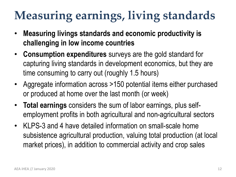## **Measuring earnings, living standards**

- **Measuring livings standards and economic productivity is challenging in low income countries**
- **Consumption expenditures** surveys are the gold standard for capturing living standards in development economics, but they are time consuming to carry out (roughly 1.5 hours)
- Aggregate information across >150 potential items either purchased or produced at home over the last month (or week)
- **Total earnings** considers the sum of labor earnings, plus selfemployment profits in both agricultural and non-agricultural sectors
- KLPS-3 and 4 have detailed information on small-scale home subsistence agricultural production, valuing total production (at local market prices), in addition to commercial activity and crop sales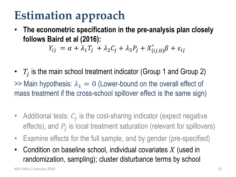## **Estimation approach**

• **The econometric specification in the pre-analysis plan closely follows Baird et al (2016):**

 $Y_{ij} = \alpha + \lambda_1 T_j + \lambda_2 C_j + \lambda_3 P_j + X'_{\{ij,0\}} \beta + \varepsilon_{ij}$ 

- $T_i$  is the main school treatment indicator (Group 1 and Group 2)  $\gg$  Main hypothesis:  $\lambda_1 = 0$  (Lower-bound on the overall effect of mass treatment if the cross-school spillover effect is the same sign)
- Additional tests:  $C_i$  is the cost-sharing indicator (expect negative effects), and  $P_i$  is local treatment saturation (relevant for spillovers)
- Examine effects for the full sample, and by gender (pre-specified)
- Condition on baseline school, individual covariates  $X$  (used in randomization, sampling); cluster disturbance terms by school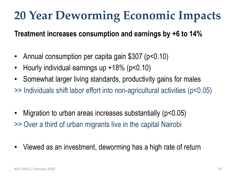## **20 Year Deworming Economic Impacts**

**Treatment increases consumption and earnings by +6 to 14%**

- Annual consumption per capita gain \$307 (p<0.10)
- Hourly individual earnings up +18% (p<0.10)
- Somewhat larger living standards, productivity gains for males
- >> Individuals shift labor effort into non-agricultural activities (p<0.05)
- Migration to urban areas increases substantially (p<0.05) >> Over a third of urban migrants live in the capital Nairobi
- Viewed as an investment, deworming has a high rate of return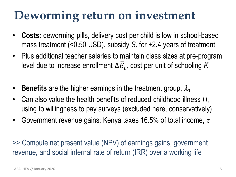- **Costs:** deworming pills, delivery cost per child is low in school-based mass treatment (<0.50 USD), subsidy *S,* for +2.4 years of treatment
- Plus additional teacher salaries to maintain class sizes at pre-program level due to increase enrollment  $\Delta \bar{E}_t$ , cost per unit of schooling K
- **Benefits** are the higher earnings in the treatment group,  $\lambda_1$
- Can also value the health benefits of reduced childhood illness *H*, using to willingness to pay surveys (excluded here, conservatively)
- Government revenue gains: Kenya taxes 16.5% of total income,  $\tau$

>> Compute net present value (NPV) of earnings gains, government revenue, and social internal rate of return (IRR) over a working life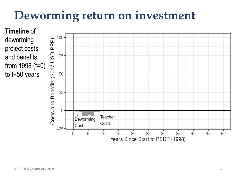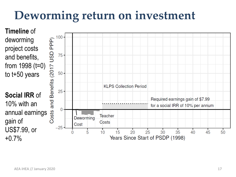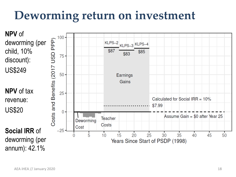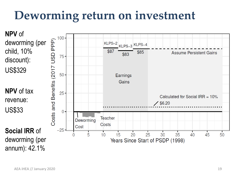